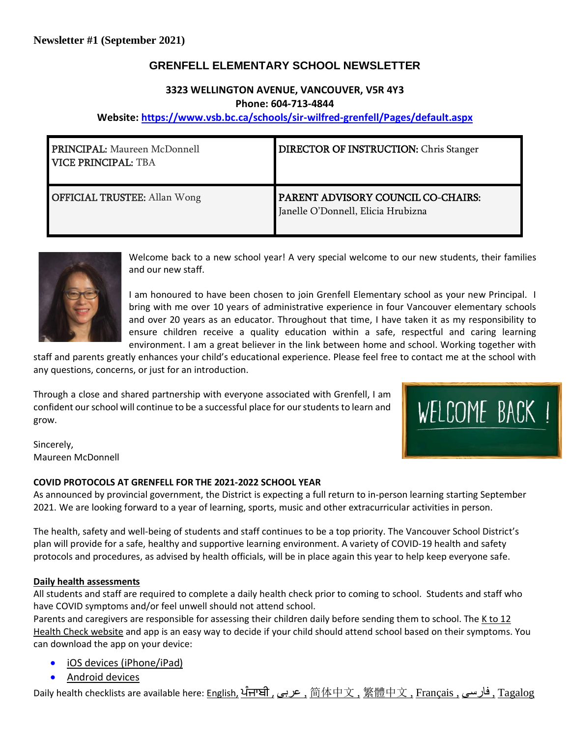# **GRENFELL ELEMENTARY SCHOOL NEWSLETTER**

# **3323 WELLINGTON AVENUE, VANCOUVER, V5R 4Y3 Phone: 604-713-4844**

# **Website: <https://www.vsb.bc.ca/schools/sir-wilfred-grenfell/Pages/default.aspx>**

| <b>PRINCIPAL: Maureen McDonnell</b><br><b>VICE PRINCIPAL: TBA</b> | <b>DIRECTOR OF INSTRUCTION: Chris Stanger</b>                            |
|-------------------------------------------------------------------|--------------------------------------------------------------------------|
| <b>OFFICIAL TRUSTEE:</b> Allan Wong                               | PARENT ADVISORY COUNCIL CO-CHAIRS:<br>Janelle O'Donnell, Elicia Hrubizna |



Welcome back to a new school year! A very special welcome to our new students, their families and our new staff.

I am honoured to have been chosen to join Grenfell Elementary school as your new Principal. I bring with me over 10 years of administrative experience in four Vancouver elementary schools and over 20 years as an educator. Throughout that time, I have taken it as my responsibility to ensure children receive a quality education within a safe, respectful and caring learning environment. I am a great believer in the link between home and school. Working together with

staff and parents greatly enhances your child's educational experience. Please feel free to contact me at the school with any questions, concerns, or just for an introduction.

Through a close and shared partnership with everyone associated with Grenfell, I am confident our school will continue to be a successful place for ourstudents to learn and grow.



Sincerely, Maureen McDonnell

#### **COVID PROTOCOLS AT GRENFELL FOR THE 2021-2022 SCHOOL YEAR**

As announced by provincial government, the District is expecting a full return to in-person learning starting September 2021. We are looking forward to a year of learning, sports, music and other extracurricular activities in person.

The health, safety and well-being of students and staff continues to be a top priority. The Vancouver School District's plan will provide for a safe, healthy and supportive learning environment. A variety of COVID-19 health and safety protocols and procedures, as advised by health officials, will be in place again this year to help keep everyone safe.

#### **Daily health assessments**

All students and staff are required to complete a daily health check prior to coming to school. Students and staff who have COVID symptoms and/or feel unwell should not attend school.

Parents and caregivers are responsible for assessing their children daily before sending them to school. The K to [12](https://www.k12dailycheck.gov.bc.ca/) Health Check [website](https://www.k12dailycheck.gov.bc.ca/) and app is an easy way to decide if your child should attend school based on their symptoms. You can download the app on your device:

- [iOS devices \(iPhone/iPad\)](https://apps.apple.com/us/app/bc-k-12-daily-health-checker/id1547334827)
- [Android devices](https://play.google.com/store/apps/details?id=com.qp.k12App)

Daily health checklists are available here: [English,](https://www2.gov.bc.ca/assets/gov/education/kindergarten-to-grade-12/covid/daily-health-check-english.pdf) [ਪੰਜਾਬੀ](https://www2.gov.bc.ca/assets/gov/education/kindergarten-to-grade-12/covid/daily-health-check-punjabi.pdf) [,](https://www2.gov.bc.ca/assets/gov/education/kindergarten-to-grade-12/covid/daily-health-check-farsi.pdf) عربی , [简体中文](https://www2.gov.bc.ca/assets/gov/education/kindergarten-to-grade-12/covid/daily-health-check-chinese-simplified.pdf) , [繁體中文](https://www2.gov.bc.ca/assets/gov/education/kindergarten-to-grade-12/covid/daily-health-check-chinese-traditional.pdf) , [Français](https://www2.gov.bc.ca/assets/gov/education/kindergarten-to-grade-12/covid/daily-health-check-french.pdf) , [فارسی](https://www2.gov.bc.ca/assets/gov/education/kindergarten-to-grade-12/covid/daily-health-check-farsi.pdf) , [Tagalog](https://www2.gov.bc.ca/assets/gov/education/kindergarten-to-grade-12/covid/daily-health-check-tagalog.pdf)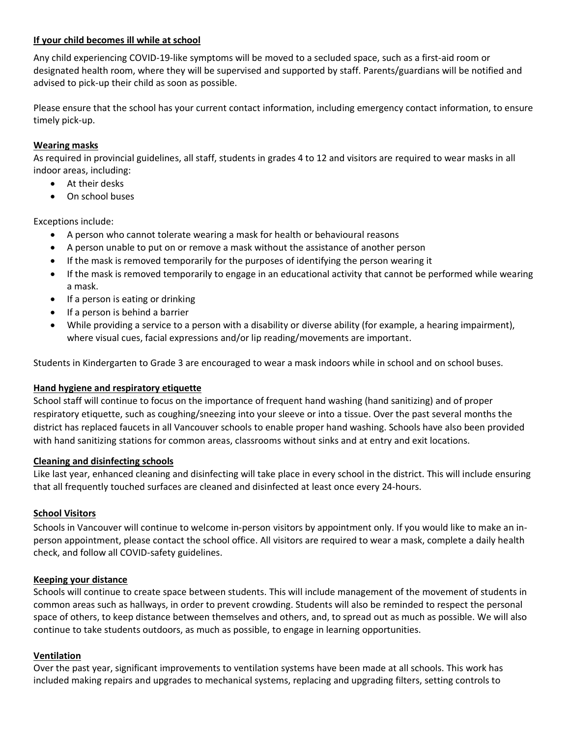### **If your child becomes ill while at school**

Any child experiencing COVID-19-like symptoms will be moved to a secluded space, such as a first-aid room or designated health room, where they will be supervised and supported by staff. Parents/guardians will be notified and advised to pick-up their child as soon as possible.

Please ensure that the school has your current contact information, including emergency contact information, to ensure timely pick-up.

### **Wearing masks**

As required in provincial guidelines, all staff, students in grades 4 to 12 and visitors are required to wear masks in all indoor areas, including:

- At their desks
- On school buses

### Exceptions include:

- A person who cannot tolerate wearing a mask for health or behavioural reasons
- A person unable to put on or remove a mask without the assistance of another person
- If the mask is removed temporarily for the purposes of identifying the person wearing it
- If the mask is removed temporarily to engage in an educational activity that cannot be performed while wearing a mask.
- If a person is eating or drinking
- If a person is behind a barrier
- While providing a service to a person with a disability or diverse ability (for example, a hearing impairment), where visual cues, facial expressions and/or lip reading/movements are important.

Students in Kindergarten to Grade 3 are encouraged to wear a mask indoors while in school and on school buses.

#### **Hand hygiene and respiratory etiquette**

School staff will continue to focus on the importance of frequent hand washing (hand sanitizing) and of proper respiratory etiquette, such as coughing/sneezing into your sleeve or into a tissue. Over the past several months the district has replaced faucets in all Vancouver schools to enable proper hand washing. Schools have also been provided with hand sanitizing stations for common areas, classrooms without sinks and at entry and exit locations.

#### **Cleaning and disinfecting schools**

Like last year, enhanced cleaning and disinfecting will take place in every school in the district. This will include ensuring that all frequently touched surfaces are cleaned and disinfected at least once every 24-hours.

#### **School Visitors**

Schools in Vancouver will continue to welcome in-person visitors by appointment only. If you would like to make an inperson appointment, please contact the school office. All visitors are required to wear a mask, complete a daily health check, and follow all COVID-safety guidelines.

#### **Keeping your distance**

Schools will continue to create space between students. This will include management of the movement of students in common areas such as hallways, in order to prevent crowding. Students will also be reminded to respect the personal space of others, to keep distance between themselves and others, and, to spread out as much as possible. We will also continue to take students outdoors, as much as possible, to engage in learning opportunities.

#### **Ventilation**

Over the past year, significant improvements to ventilation systems have been made at all schools. This work has included making repairs and upgrades to mechanical systems, replacing and upgrading filters, setting controls to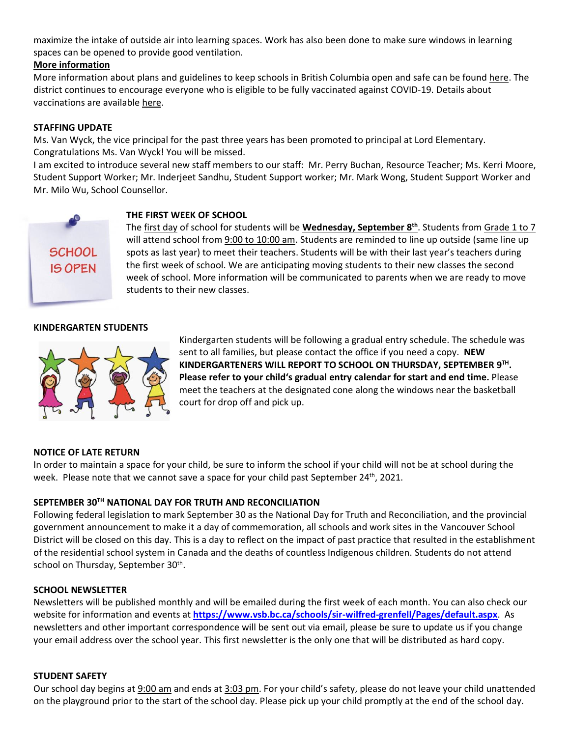maximize the intake of outside air into learning spaces. Work has also been done to make sure windows in learning spaces can be opened to provide good ventilation.

### **More information**

More information about plans and guidelines to keep schools in British Columbia open and safe can be found [here.](https://www2.gov.bc.ca/gov/content/education-training/k-12/covid-19-safe-schools) The district continues to encourage everyone who is eligible to be fully vaccinated against COVID-19. Details about vaccinations are available [here.](http://www.vch.ca/covid-19/covid-19-vaccine)

### **STAFFING UPDATE**

Ms. Van Wyck, the vice principal for the past three years has been promoted to principal at Lord Elementary. Congratulations Ms. Van Wyck! You will be missed.

I am excited to introduce several new staff members to our staff: Mr. Perry Buchan, Resource Teacher; Ms. Kerri Moore, Student Support Worker; Mr. Inderjeet Sandhu, Student Support worker; Mr. Mark Wong, Student Support Worker and Mr. Milo Wu, School Counsellor.



### **THE FIRST WEEK OF SCHOOL**

The first day of school for students will be **Wednesday, September 8 th** . Students from Grade 1 to 7 will attend school from 9:00 to 10:00 am. Students are reminded to line up outside (same line up spots as last year) to meet their teachers. Students will be with their last year's teachers during the first week of school. We are anticipating moving students to their new classes the second week of school. More information will be communicated to parents when we are ready to move students to their new classes.

### **KINDERGARTEN STUDENTS**



Kindergarten students will be following a gradual entry schedule. The schedule was sent to all families, but please contact the office if you need a copy. **NEW KINDERGARTENERS WILL REPORT TO SCHOOL ON THURSDAY, SEPTEMBER 9 TH . Please refer to your child's gradual entry calendar for start and end time.** Please meet the teachers at the designated cone along the windows near the basketball court for drop off and pick up.

### **NOTICE OF LATE RETURN**

In order to maintain a space for your child, be sure to inform the school if your child will not be at school during the week. Please note that we cannot save a space for your child past September 24<sup>th</sup>, 2021.

### **SEPTEMBER 30TH NATIONAL DAY FOR TRUTH AND RECONCILIATION**

Following federal legislation to mark September 30 as the National Day for Truth and Reconciliation, and the provincial government announcement to make it a day of commemoration, all schools and work sites in the Vancouver School District will be closed on this day. This is a day to reflect on the impact of past practice that resulted in the establishment of the residential school system in Canada and the deaths of countless Indigenous children. Students do not attend school on Thursday, September 30<sup>th</sup>.

#### **SCHOOL NEWSLETTER**

Newsletters will be published monthly and will be emailed during the first week of each month. You can also check our website for information and events at **<https://www.vsb.bc.ca/schools/sir-wilfred-grenfell/Pages/default.aspx>**. As newsletters and other important correspondence will be sent out via email, please be sure to update us if you change your email address over the school year. This first newsletter is the only one that will be distributed as hard copy.

#### **STUDENT SAFETY**

Our school day begins at 9:00 am and ends at 3:03 pm. For your child's safety, please do not leave your child unattended on the playground prior to the start of the school day. Please pick up your child promptly at the end of the school day.